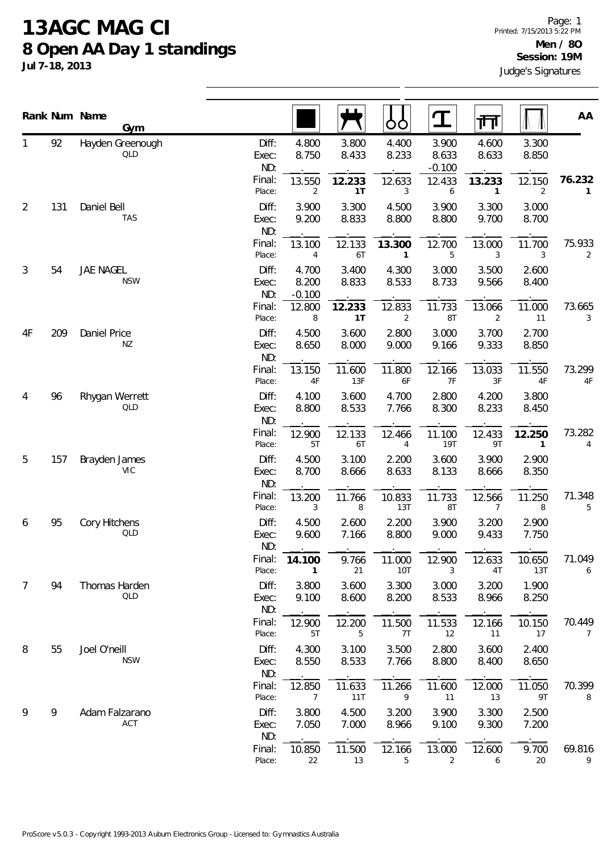## **13AGC MAG CI 8 Open AA Day 1 standings**

**Jul 7-18, 2013**

|    |     | Rank Num Name<br>Gym        |                       |                            |                | OÓ                       | $\mathbf T$                | 帀                        |                        | AA                       |
|----|-----|-----------------------------|-----------------------|----------------------------|----------------|--------------------------|----------------------------|--------------------------|------------------------|--------------------------|
|    | 92  | Hayden Greenough<br>QLD     | Diff:<br>Exec:<br>ND: | 4.800<br>8.750             | 3.800<br>8.433 | 4.400<br>8.233           | 3.900<br>8.633<br>$-0.100$ | 4.600<br>8.633           | 3.300<br>8.850         |                          |
|    |     |                             | Final:<br>Place:      | 13.550<br>$\overline{2}$   | 12.233<br>1T   | 12.633<br>3              | 12.433<br>6                | 13.233<br>$\mathbf{1}$   | 12.150<br>2            | 76.232<br>$\mathbf{1}$   |
| 2  | 131 | Daniel Bell<br><b>TAS</b>   | Diff:<br>Exec:<br>ND: | 3.900<br>9.200             | 3.300<br>8.833 | 4.500<br>8.800           | 3.900<br>8.800             | 3.300<br>9.700           | 3.000<br>8.700         |                          |
|    |     |                             | Final:<br>Place:      | 13.100<br>4                | 12.133<br>6T   | 13.300<br>1              | 12.700<br>5                | 13.000<br>3              | 11.700<br>3            | 75.933<br>$\overline{2}$ |
| 3  | 54  | JAE NAGEL<br><b>NSW</b>     | Diff:<br>Exec:<br>ND: | 4.700<br>8.200<br>$-0.100$ | 3.400<br>8.833 | 4.300<br>8.533           | 3.000<br>8.733             | 3.500<br>9.566           | 2.600<br>8.400         |                          |
|    |     |                             | Final:<br>Place:      | 12.800<br>8                | 12.233<br>1T   | 12.833<br>$\overline{2}$ | 11.733<br>8T               | 13.066<br>2              | 11.000<br>11           | 73.665<br>3              |
| 4F | 209 | Daniel Price<br>NZ          | Diff:<br>Exec:<br>ND: | 4.500<br>8.650             | 3.600<br>8.000 | 2.800<br>9.000           | 3.000<br>9.166             | 3.700<br>9.333           | 2.700<br>8.850         |                          |
|    |     |                             | Final:<br>Place:      | 13.150<br>$4\mathsf{F}$    | 11.600<br>13F  | 11.800<br>6F             | 12.166<br>7F               | 13.033<br>3F             | 11.550<br>4F           | 73.299<br>$4\mathsf{F}$  |
| 4  | 96  | Rhygan Werrett<br>QLD       | Diff:<br>Exec:<br>ND: | 4.100<br>8.800             | 3.600<br>8.533 | 4.700<br>7.766           | 2.800<br>8.300             | 4.200<br>8.233           | 3.800<br>8.450         |                          |
|    |     |                             | Final:<br>Place:      | 12.900<br>5T               | 12.133<br>6T   | 12.466<br>4              | 11.100<br><b>19T</b>       | 12.433<br>9T             | 12.250<br>$\mathbf{1}$ | 73.282<br>$\overline{4}$ |
| 5  | 157 | Brayden James<br><b>VIC</b> | Diff:<br>Exec:<br>ND: | 4.500<br>8.700             | 3.100<br>8.666 | 2.200<br>8.633           | 3.600<br>8.133             | 3.900<br>8.666           | 2.900<br>8.350         |                          |
|    |     |                             | Final:<br>Place:      | 13.200<br>3                | 11.766<br>8    | 10.833<br>13T            | 11.733<br>8T               | 12.566<br>$\overline{7}$ | 11.250<br>8            | 71.348<br>5              |
| 6  | 95  | Cory Hitchens<br>QLD        | Diff:<br>Exec:<br>ND: | 4.500<br>9.600             | 2.600<br>7.166 | 2.200<br>8.800           | 3.900<br>9.000             | 3.200<br>9.433           | 2.900<br>7.750         |                          |
|    |     |                             | Final:<br>Place:      | 14.100<br>1                | 9.766<br>21    | 11.000<br>10T            | 12.900<br>3                | 12.633<br>4T             | 10.650<br>13T          | 71.049<br>6              |
| 7  | 94  | Thomas Harden<br>QLD        | Diff:<br>Exec:<br>ND: | 3.800<br>9.100             | 3.600<br>8.600 | 3.300<br>8.200           | 3.000<br>8.533             | 3.200<br>8.966           | 1.900<br>8.250         |                          |
|    |     |                             | Final:<br>Place:      | 12.900<br>5T               | 12.200<br>5    | 11.500<br>7T             | 11.533<br>12               | 12.166<br>11             | 10.150<br>17           | 70.449<br>7              |
| 8  | 55  | Joel O'neill<br><b>NSW</b>  | Diff:<br>Exec:<br>ND: | 4.300<br>8.550             | 3.100<br>8.533 | 3.500<br>7.766           | 2.800<br>8.800             | 3.600<br>8.400           | 2.400<br>8.650         |                          |
|    |     |                             | Final:<br>Place:      | 12.850<br>7                | 11.633<br>11T  | 11.266<br>9              | 11.600<br>11               | 12.000<br>13             | 11.050<br>9T           | 70.399<br>8              |
| 9  | 9   | Adam Falzarano<br>ACT       | Diff:<br>Exec:<br>ND: | 3.800<br>7.050             | 4.500<br>7.000 | 3.200<br>8.966           | 3.900<br>9.100             | 3.300<br>9.300           | 2.500<br>7.200         |                          |
|    |     |                             | Final:<br>Place:      | 10.850<br>22               | 11.500<br>13   | 12.166<br>5              | 13.000<br>2                | 12.600<br>6              | 9.700<br>20            | 69.816<br>9              |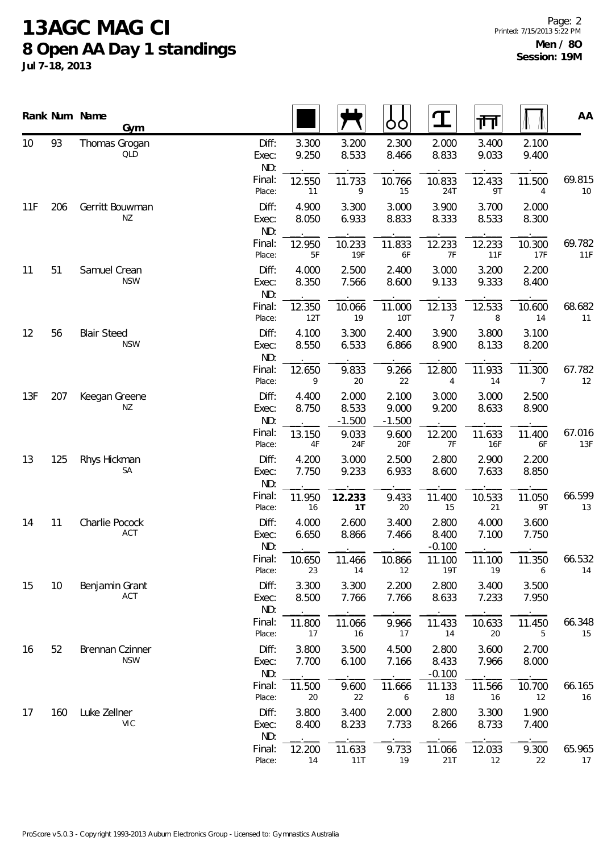## **13AGC MAG CI 8 Open AA Day 1 standings**

**Jul 7-18, 2013**

Page: 2 Printed: 7/15/2013 5:22 PM **Men / 8O Session: 19M**

|     |     | Rank Num Name<br>Gym             |                       |                |                            | OO                         | $\mathbf T$                | 帀              |                | AA            |
|-----|-----|----------------------------------|-----------------------|----------------|----------------------------|----------------------------|----------------------------|----------------|----------------|---------------|
| 10  | 93  | Thomas Grogan<br>QLD             | Diff:<br>Exec:<br>ND: | 3.300<br>9.250 | 3.200<br>8.533             | 2.300<br>8.466             | 2.000<br>8.833             | 3.400<br>9.033 | 2.100<br>9.400 |               |
|     |     |                                  | Final:<br>Place:      | 12.550<br>11   | 11.733<br>9                | 10.766<br>15               | 10.833<br>24T              | 12.433<br>9T   | 11.500<br>4    | 69.815<br>10  |
| 11F | 206 | Gerritt Bouwman<br>ΝZ            | Diff:<br>Exec:<br>ND: | 4.900<br>8.050 | 3.300<br>6.933             | 3.000<br>8.833             | 3.900<br>8.333             | 3.700<br>8.533 | 2.000<br>8.300 |               |
|     |     |                                  | Final:<br>Place:      | 12.950<br>5F   | 10.233<br>19F              | 11.833<br>6F               | 12.233<br>$7\,$ F          | 12.233<br>11F  | 10.300<br>17F  | 69.782<br>11F |
| 11  | 51  | Samuel Crean<br><b>NSW</b>       | Diff:<br>Exec:<br>ND: | 4.000<br>8.350 | 2.500<br>7.566             | 2.400<br>8.600             | 3.000<br>9.133             | 3.200<br>9.333 | 2.200<br>8.400 |               |
|     |     |                                  | Final:<br>Place:      | 12.350<br>12T  | 10.066<br>19               | 11.000<br><b>10T</b>       | 12.133<br>7                | 12.533<br>8    | 10.600<br>14   | 68.682<br>11  |
| 12  | 56  | <b>Blair Steed</b><br><b>NSW</b> | Diff:<br>Exec:<br>ND: | 4.100<br>8.550 | 3.300<br>6.533             | 2.400<br>6.866             | 3.900<br>8.900             | 3.800<br>8.133 | 3.100<br>8.200 |               |
|     |     |                                  | Final:<br>Place:      | 12.650<br>9    | 9.833<br>20                | 9.266<br>22                | 12.800<br>$\overline{4}$   | 11.933<br>14   | 11.300<br>7    | 67.782<br>12  |
| 13F | 207 | Keegan Greene<br>ΝZ              | Diff:<br>Exec:<br>ND: | 4.400<br>8.750 | 2.000<br>8.533<br>$-1.500$ | 2.100<br>9.000<br>$-1.500$ | 3.000<br>9.200             | 3.000<br>8.633 | 2.500<br>8.900 |               |
|     |     |                                  | Final:<br>Place:      | 13.150<br>4F   | 9.033<br>24F               | 9.600<br>20F               | 12.200<br>7F               | 11.633<br>16F  | 11.400<br>6F   | 67.016<br>13F |
| 13  | 125 | Rhys Hickman<br>SA               | Diff:<br>Exec:<br>ND: | 4.200<br>7.750 | 3.000<br>9.233             | 2.500<br>6.933             | 2.800<br>8.600             | 2.900<br>7.633 | 2.200<br>8.850 |               |
|     |     |                                  | Final:<br>Place:      | 11.950<br>16   | 12.233<br>1T               | 9.433<br>20                | 11.400<br>15               | 10.533<br>21   | 11.050<br>9T   | 66.599<br>13  |
| 14  | 11  | Charlie Pocock<br>ACT            | Diff:<br>Exec:<br>ND: | 4.000<br>6.650 | 2.600<br>8.866             | 3.400<br>7.466             | 2.800<br>8.400<br>$-0.100$ | 4.000<br>7.100 | 3.600<br>7.750 |               |
|     |     |                                  | Final:<br>Place:      | 10.650<br>23   | 11.466<br>14               | 10.866<br>12               | 11.100<br>19T              | 11.100<br>19   | 11.350<br>6    | 66.532<br>14  |
| 15  | 10  | Benjamin Grant<br>ACT            | Diff:<br>Exec:<br>ND: | 3.300<br>8.500 | 3.300<br>7.766             | 2.200<br>7.766             | 2.800<br>8.633             | 3.400<br>7.233 | 3.500<br>7.950 |               |
|     |     |                                  | Final:<br>Place:      | 11.800<br>17   | 11.066<br>16               | 9.966<br>17                | 11.433<br>14               | 10.633<br>20   | 11.450<br>5    | 66.348<br>15  |
| 16  | 52  | Brennan Czinner<br><b>NSW</b>    | Diff:<br>Exec:<br>ND: | 3.800<br>7.700 | 3.500<br>6.100             | 4.500<br>7.166             | 2.800<br>8.433<br>$-0.100$ | 3.600<br>7.966 | 2.700<br>8.000 |               |
|     |     |                                  | Final:<br>Place:      | 11.500<br>20   | 9.600<br>22                | 11.666<br>6                | 11.133<br>18               | 11.566<br>16   | 10.700<br>12   | 66.165<br>16  |
| 17  | 160 | Luke Zellner<br>VIC              | Diff:<br>Exec:<br>ND: | 3.800<br>8.400 | 3.400<br>8.233             | 2.000<br>7.733             | 2.800<br>8.266             | 3.300<br>8.733 | 1.900<br>7.400 |               |
|     |     |                                  | Final:<br>Place:      | 12.200<br>14   | 11.633<br>11T              | 9.733<br>19                | 11.066<br>21T              | 12.033<br>12   | 9.300<br>22    | 65.965<br>17  |